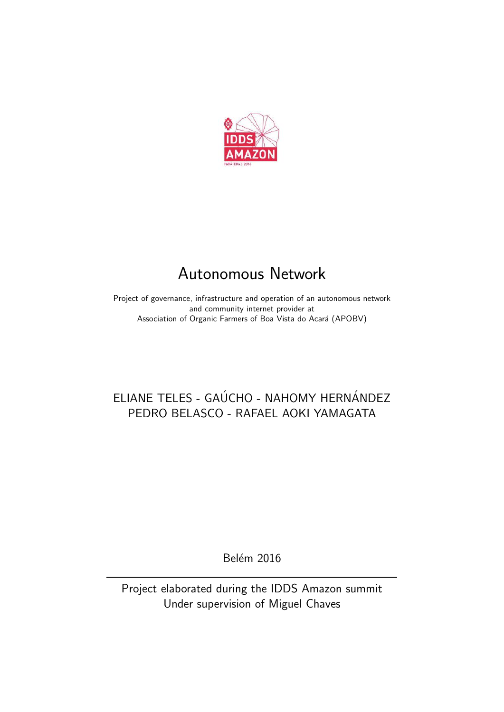

# Autonomous Network

Project of governance, infrastructure and operation of an autonomous network and community internet provider at Association of Organic Farmers of Boa Vista do Acará (APOBV)

## ELIANE TELES - GAÚCHO - NAHOMY HERNÁNDEZ PEDRO BELASCO - RAFAEL AOKI YAMAGATA

**Belém 2016** 

Project elaborated during the IDDS Amazon summit Under supervision of Miguel Chaves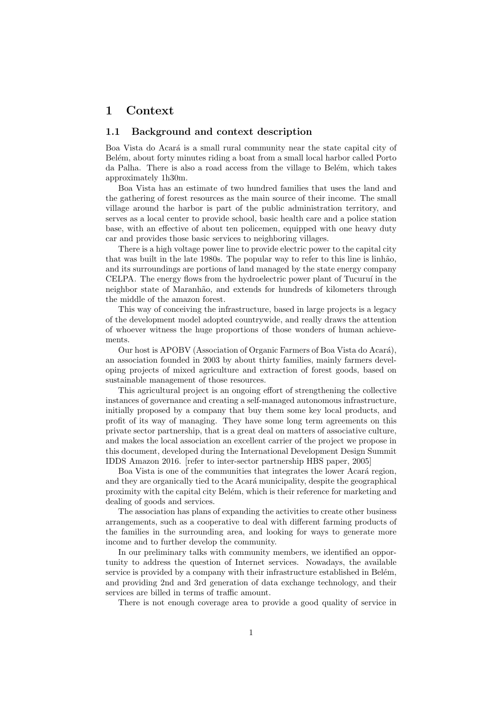## 1 Context

#### 1.1 Background and context description

Boa Vista do Acará is a small rural community near the state capital city of Belém, about forty minutes riding a boat from a small local harbor called Porto da Palha. There is also a road access from the village to Belém, which takes approximately 1h30m.

Boa Vista has an estimate of two hundred families that uses the land and the gathering of forest resources as the main source of their income. The small village around the harbor is part of the public administration territory, and serves as a local center to provide school, basic health care and a police station base, with an effective of about ten policemen, equipped with one heavy duty car and provides those basic services to neighboring villages.

There is a high voltage power line to provide electric power to the capital city that was built in the late 1980s. The popular way to refer to this line is linhão, and its surroundings are portions of land managed by the state energy company CELPA. The energy flows from the hydroelectric power plant of Tucuruí in the neighbor state of Maranhão, and extends for hundreds of kilometers through the middle of the amazon forest.

This way of conceiving the infrastructure, based in large projects is a legacy of the development model adopted countrywide, and really draws the attention of whoever witness the huge proportions of those wonders of human achievements.

Our host is APOBV (Association of Organic Farmers of Boa Vista do Acará), an association founded in 2003 by about thirty families, mainly farmers developing projects of mixed agriculture and extraction of forest goods, based on sustainable management of those resources.

This agricultural project is an ongoing effort of strengthening the collective instances of governance and creating a self-managed autonomous infrastructure, initially proposed by a company that buy them some key local products, and profit of its way of managing. They have some long term agreements on this private sector partnership, that is a great deal on matters of associative culture, and makes the local association an excellent carrier of the project we propose in this document, developed during the International Development Design Summit IDDS Amazon 2016. [refer to inter-sector partnership HBS paper, 2005]

Boa Vista is one of the communities that integrates the lower Acará region, and they are organically tied to the Acará municipality, despite the geographical proximity with the capital city Belém, which is their reference for marketing and dealing of goods and services.

The association has plans of expanding the activities to create other business arrangements, such as a cooperative to deal with different farming products of the families in the surrounding area, and looking for ways to generate more income and to further develop the community.

In our preliminary talks with community members, we identified an opportunity to address the question of Internet services. Nowadays, the available service is provided by a company with their infrastructure established in Belém, and providing 2nd and 3rd generation of data exchange technology, and their services are billed in terms of traffic amount.

There is not enough coverage area to provide a good quality of service in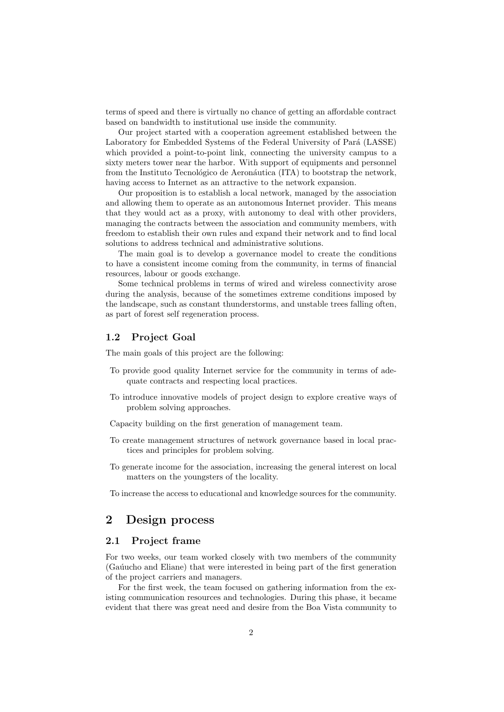terms of speed and there is virtually no chance of getting an affordable contract based on bandwidth to institutional use inside the community.

Our project started with a cooperation agreement established between the Laboratory for Embedded Systems of the Federal University of Pará (LASSE) which provided a point-to-point link, connecting the university campus to a sixty meters tower near the harbor. With support of equipments and personnel from the Instituto Tecnológico de Aeronáutica (ITA) to bootstrap the network. having access to Internet as an attractive to the network expansion.

Our proposition is to establish a local network, managed by the association and allowing them to operate as an autonomous Internet provider. This means that they would act as a proxy, with autonomy to deal with other providers, managing the contracts between the association and community members, with freedom to establish their own rules and expand their network and to find local solutions to address technical and administrative solutions.

The main goal is to develop a governance model to create the conditions to have a consistent income coming from the community, in terms of financial resources, labour or goods exchange.

Some technical problems in terms of wired and wireless connectivity arose during the analysis, because of the sometimes extreme conditions imposed by the landscape, such as constant thunderstorms, and unstable trees falling often, as part of forest self regeneration process.

## 1.2 Project Goal

The main goals of this project are the following:

- To provide good quality Internet service for the community in terms of adequate contracts and respecting local practices.
- To introduce innovative models of project design to explore creative ways of problem solving approaches.
- Capacity building on the first generation of management team.
- To create management structures of network governance based in local practices and principles for problem solving.
- To generate income for the association, increasing the general interest on local matters on the youngsters of the locality.

To increase the access to educational and knowledge sources for the community.

## 2 Design process

## 2.1 Project frame

For two weeks, our team worked closely with two members of the community (Ga´uucho and Eliane) that were interested in being part of the first generation of the project carriers and managers.

For the first week, the team focused on gathering information from the existing communication resources and technologies. During this phase, it became evident that there was great need and desire from the Boa Vista community to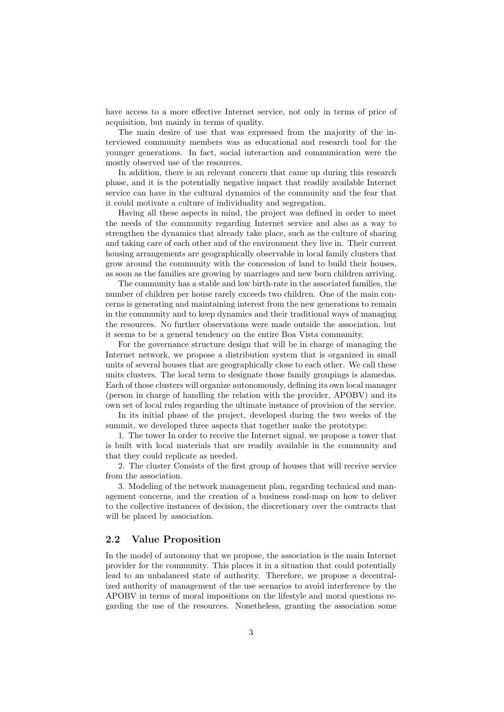have access to a more effective Internet service, not only in terms of price of acquisition, but mainly in terms of quality.

The main desire of use that was expressed from the majority of the interviewed community members was as educational and research tool for the younger generations. In fact, social interaction and communication were the mostly observed use of the resources.

In addition, there is an relevant concern that came up during this research phase, and it is the potentially negative impact that readily available Internet service can have in the cultural dynamics of the community and the fear that it could motivate a culture of individuality and segregation.

Having all these aspects in mind, the project was defined in order to meet the needs of the community regarding Internet service and also as a way to strengthen the dynamics that already take place, such as the culture of sharing and taking care of each other and of the environment they live in. Their current housing arrangements are geographically observable in local family clusters that grow around the community with the concession of land to build their houses, as soon as the families are growing by marriages and new born children arriving.

The community has a stable and low birth-rate in the associated families, the number of children per house rarely exceeds two children. One of the main concerns is generating and maintaining interest from the new generations to remain in the community and to keep dynamics and their traditional ways of managing the resources. No further observations were made outside the association, but it seems to be a general tendency on the entire Boa Vista community.

For the governance structure design that will be in charge of managing the Internet network, we propose a distribution system that is organized in small units of several houses that are geographically close to each other. We call these units clusters. The local term to designate those family groupings is alamedas. Each of those clusters will organize autonomously, defining its own local manager (person in charge of handling the relation with the provider, APOBV) and its own set of local rules regarding the ultimate instance of provision of the service.

In its initial phase of the project, developed during the two weeks of the summit, we developed three aspects that together make the prototype:

1. The tower In order to receive the Internet signal, we propose a tower that is built with local materials that are readily available in the community and that they could replicate as needed.

2. The cluster Consists of the first group of houses that will receive service from the association.

3. Modeling of the network management plan, regarding technical and management concerns, and the creation of a business road-map on how to deliver to the collective instances of decision, the discretionary over the contracts that will be placed by association.

## 2.2 Value Proposition

In the model of autonomy that we propose, the association is the main Internet provider for the community. This places it in a situation that could potentially lead to an unbalanced state of authority. Therefore, we propose a decentralized authority of management of the use scenarios to avoid interference by the APOBV in terms of moral impositions on the lifestyle and moral questions regarding the use of the resources. Nonetheless, granting the association some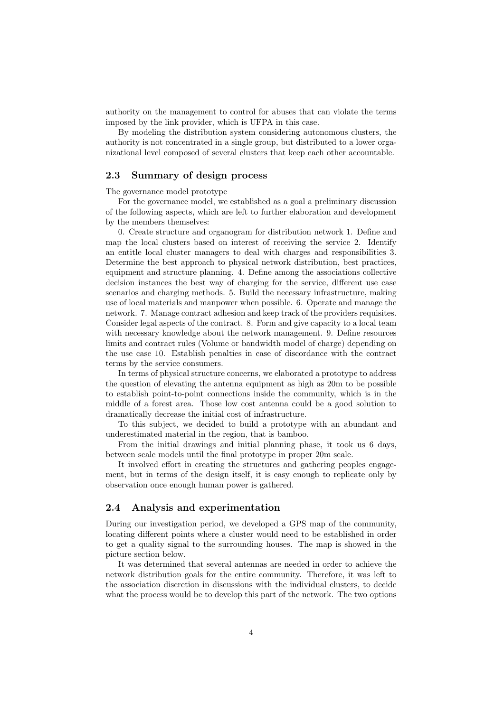authority on the management to control for abuses that can violate the terms imposed by the link provider, which is UFPA in this case.

By modeling the distribution system considering autonomous clusters, the authority is not concentrated in a single group, but distributed to a lower organizational level composed of several clusters that keep each other accountable.

## 2.3 Summary of design process

The governance model prototype

For the governance model, we established as a goal a preliminary discussion of the following aspects, which are left to further elaboration and development by the members themselves:

0. Create structure and organogram for distribution network 1. Define and map the local clusters based on interest of receiving the service 2. Identify an entitle local cluster managers to deal with charges and responsibilities 3. Determine the best approach to physical network distribution, best practices, equipment and structure planning. 4. Define among the associations collective decision instances the best way of charging for the service, different use case scenarios and charging methods. 5. Build the necessary infrastructure, making use of local materials and manpower when possible. 6. Operate and manage the network. 7. Manage contract adhesion and keep track of the providers requisites. Consider legal aspects of the contract. 8. Form and give capacity to a local team with necessary knowledge about the network management. 9. Define resources limits and contract rules (Volume or bandwidth model of charge) depending on the use case 10. Establish penalties in case of discordance with the contract terms by the service consumers.

In terms of physical structure concerns, we elaborated a prototype to address the question of elevating the antenna equipment as high as 20m to be possible to establish point-to-point connections inside the community, which is in the middle of a forest area. Those low cost antenna could be a good solution to dramatically decrease the initial cost of infrastructure.

To this subject, we decided to build a prototype with an abundant and underestimated material in the region, that is bamboo.

From the initial drawings and initial planning phase, it took us 6 days, between scale models until the final prototype in proper 20m scale.

It involved effort in creating the structures and gathering peoples engagement, but in terms of the design itself, it is easy enough to replicate only by observation once enough human power is gathered.

#### 2.4 Analysis and experimentation

During our investigation period, we developed a GPS map of the community, locating different points where a cluster would need to be established in order to get a quality signal to the surrounding houses. The map is showed in the picture section below.

It was determined that several antennas are needed in order to achieve the network distribution goals for the entire community. Therefore, it was left to the association discretion in discussions with the individual clusters, to decide what the process would be to develop this part of the network. The two options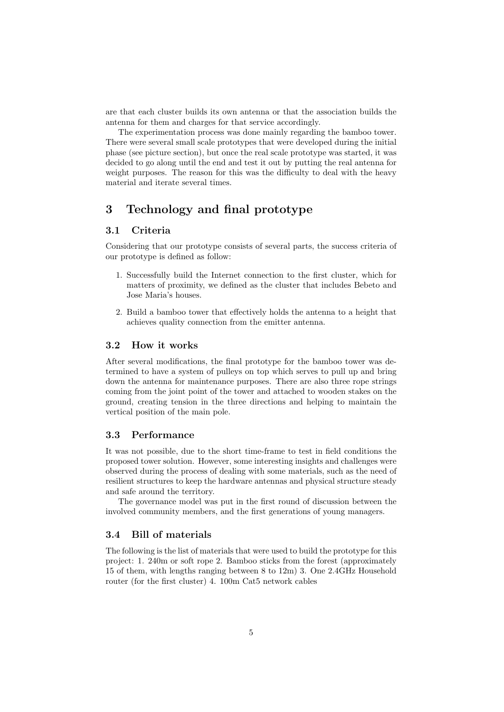are that each cluster builds its own antenna or that the association builds the antenna for them and charges for that service accordingly.

The experimentation process was done mainly regarding the bamboo tower. There were several small scale prototypes that were developed during the initial phase (see picture section), but once the real scale prototype was started, it was decided to go along until the end and test it out by putting the real antenna for weight purposes. The reason for this was the difficulty to deal with the heavy material and iterate several times.

## 3 Technology and final prototype

#### 3.1 Criteria

Considering that our prototype consists of several parts, the success criteria of our prototype is defined as follow:

- 1. Successfully build the Internet connection to the first cluster, which for matters of proximity, we defined as the cluster that includes Bebeto and Jose Maria's houses.
- 2. Build a bamboo tower that effectively holds the antenna to a height that achieves quality connection from the emitter antenna.

#### 3.2 How it works

After several modifications, the final prototype for the bamboo tower was determined to have a system of pulleys on top which serves to pull up and bring down the antenna for maintenance purposes. There are also three rope strings coming from the joint point of the tower and attached to wooden stakes on the ground, creating tension in the three directions and helping to maintain the vertical position of the main pole.

## 3.3 Performance

It was not possible, due to the short time-frame to test in field conditions the proposed tower solution. However, some interesting insights and challenges were observed during the process of dealing with some materials, such as the need of resilient structures to keep the hardware antennas and physical structure steady and safe around the territory.

The governance model was put in the first round of discussion between the involved community members, and the first generations of young managers.

## 3.4 Bill of materials

The following is the list of materials that were used to build the prototype for this project: 1. 240m or soft rope 2. Bamboo sticks from the forest (approximately 15 of them, with lengths ranging between 8 to 12m) 3. One 2.4GHz Household router (for the first cluster) 4. 100m Cat5 network cables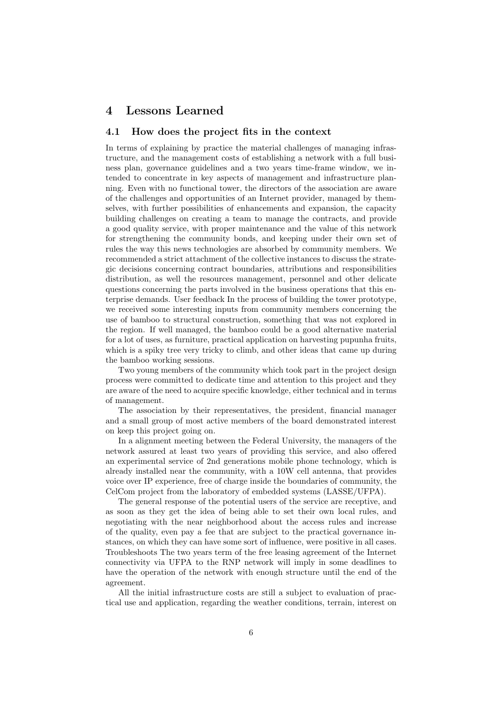## 4 Lessons Learned

## 4.1 How does the project fits in the context

In terms of explaining by practice the material challenges of managing infrastructure, and the management costs of establishing a network with a full business plan, governance guidelines and a two years time-frame window, we intended to concentrate in key aspects of management and infrastructure planning. Even with no functional tower, the directors of the association are aware of the challenges and opportunities of an Internet provider, managed by themselves, with further possibilities of enhancements and expansion, the capacity building challenges on creating a team to manage the contracts, and provide a good quality service, with proper maintenance and the value of this network for strengthening the community bonds, and keeping under their own set of rules the way this news technologies are absorbed by community members. We recommended a strict attachment of the collective instances to discuss the strategic decisions concerning contract boundaries, attributions and responsibilities distribution, as well the resources management, personnel and other delicate questions concerning the parts involved in the business operations that this enterprise demands. User feedback In the process of building the tower prototype, we received some interesting inputs from community members concerning the use of bamboo to structural construction, something that was not explored in the region. If well managed, the bamboo could be a good alternative material for a lot of uses, as furniture, practical application on harvesting pupunha fruits, which is a spiky tree very tricky to climb, and other ideas that came up during the bamboo working sessions.

Two young members of the community which took part in the project design process were committed to dedicate time and attention to this project and they are aware of the need to acquire specific knowledge, either technical and in terms of management.

The association by their representatives, the president, financial manager and a small group of most active members of the board demonstrated interest on keep this project going on.

In a alignment meeting between the Federal University, the managers of the network assured at least two years of providing this service, and also offered an experimental service of 2nd generations mobile phone technology, which is already installed near the community, with a 10W cell antenna, that provides voice over IP experience, free of charge inside the boundaries of community, the CelCom project from the laboratory of embedded systems (LASSE/UFPA).

The general response of the potential users of the service are receptive, and as soon as they get the idea of being able to set their own local rules, and negotiating with the near neighborhood about the access rules and increase of the quality, even pay a fee that are subject to the practical governance instances, on which they can have some sort of influence, were positive in all cases. Troubleshoots The two years term of the free leasing agreement of the Internet connectivity via UFPA to the RNP network will imply in some deadlines to have the operation of the network with enough structure until the end of the agreement.

All the initial infrastructure costs are still a subject to evaluation of practical use and application, regarding the weather conditions, terrain, interest on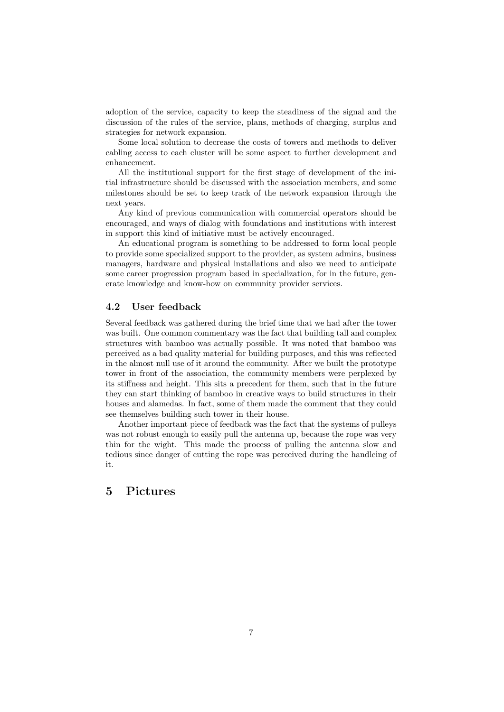adoption of the service, capacity to keep the steadiness of the signal and the discussion of the rules of the service, plans, methods of charging, surplus and strategies for network expansion.

Some local solution to decrease the costs of towers and methods to deliver cabling access to each cluster will be some aspect to further development and enhancement.

All the institutional support for the first stage of development of the initial infrastructure should be discussed with the association members, and some milestones should be set to keep track of the network expansion through the next years.

Any kind of previous communication with commercial operators should be encouraged, and ways of dialog with foundations and institutions with interest in support this kind of initiative must be actively encouraged.

An educational program is something to be addressed to form local people to provide some specialized support to the provider, as system admins, business managers, hardware and physical installations and also we need to anticipate some career progression program based in specialization, for in the future, generate knowledge and know-how on community provider services.

#### 4.2 User feedback

Several feedback was gathered during the brief time that we had after the tower was built. One common commentary was the fact that building tall and complex structures with bamboo was actually possible. It was noted that bamboo was perceived as a bad quality material for building purposes, and this was reflected in the almost null use of it around the community. After we built the prototype tower in front of the association, the community members were perplexed by its stiness and height. This sits a precedent for them, such that in the future they can start thinking of bamboo in creative ways to build structures in their houses and alamedas. In fact, some of them made the comment that they could see themselves building such tower in their house.

Another important piece of feedback was the fact that the systems of pulleys was not robust enough to easily pull the antenna up, because the rope was very thin for the wight. This made the process of pulling the antenna slow and tedious since danger of cutting the rope was perceived during the handleing of it.

## 5 Pictures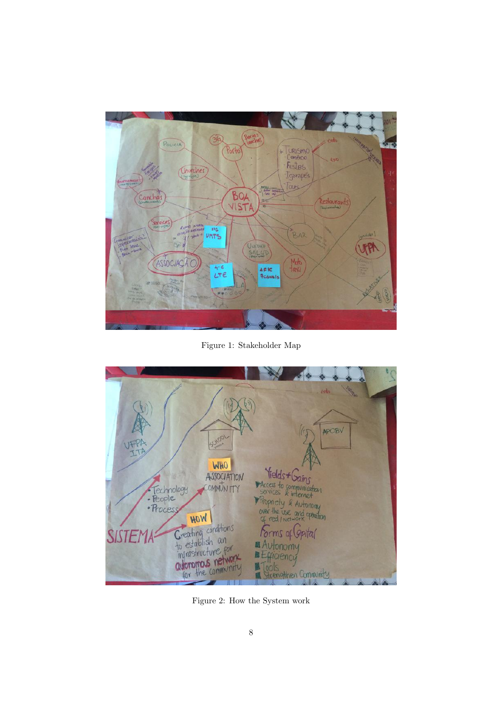

Figure 1: Stakeholder Map

 $\widehat{b}$ APOBV SCHOOL **WHO** Vields + Gains ASSOCIATION Fechnology<br>• People<br>• Process Propriety & Autonomy<br>Over the use and operation HOW Greating conditions<br>to establish an<br>infrastructure for<br>adoromous network Forms of Gpital **SISTE** Autonomy Efficiency<br>Sicency<br>Sicencythen Community

Figure 2: How the System work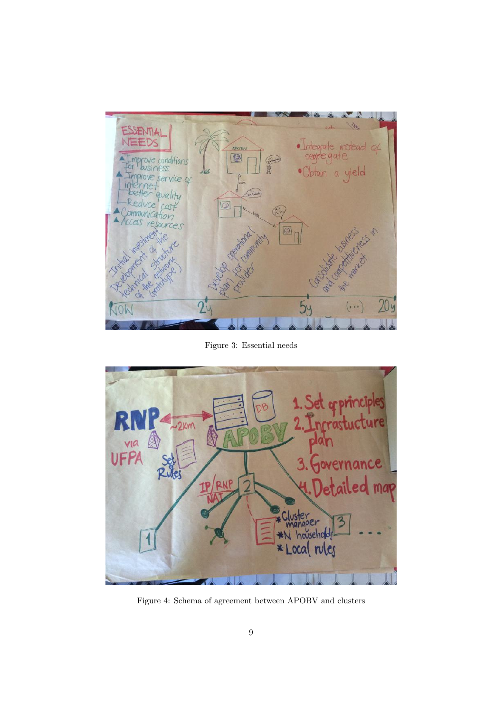

Figure 3: Essential needs



Figure 4: Schema of agreement between APOBV and clusters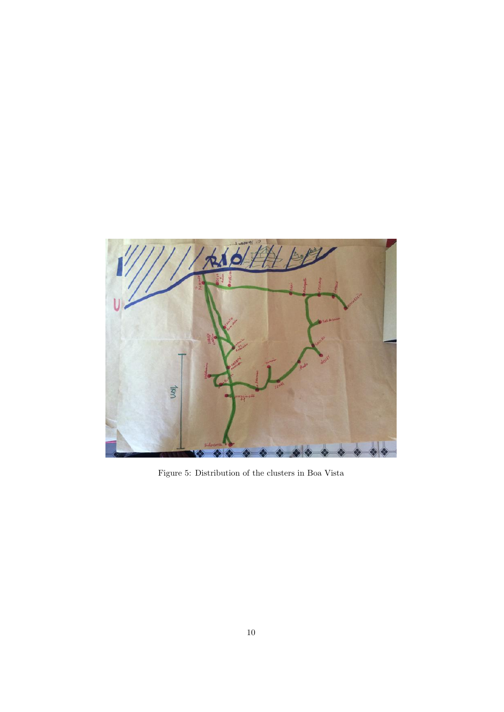

Figure 5: Distribution of the clusters in Boa Vista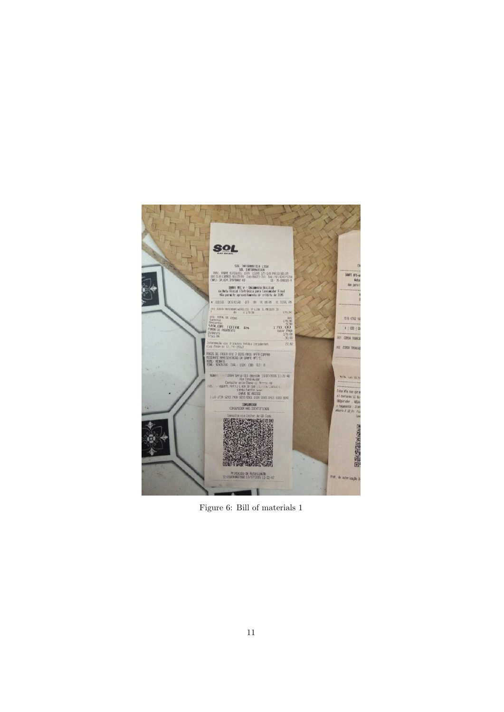

Figure 6: Bill of materials 1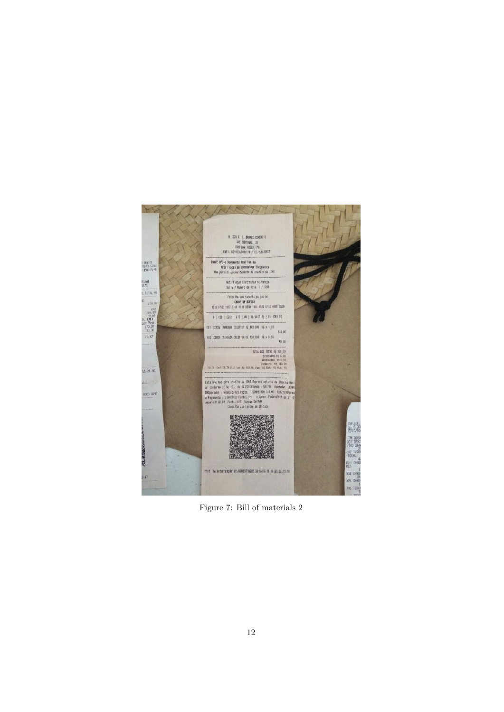

Figure 7: Bill of materials 2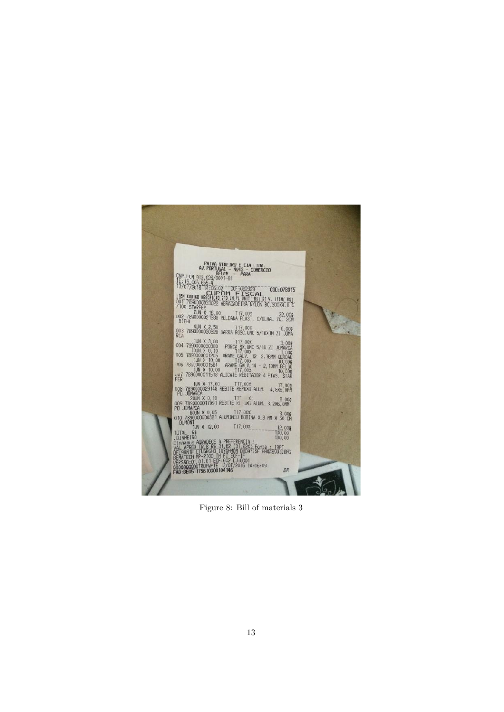

Figure 8: Bill of materials 3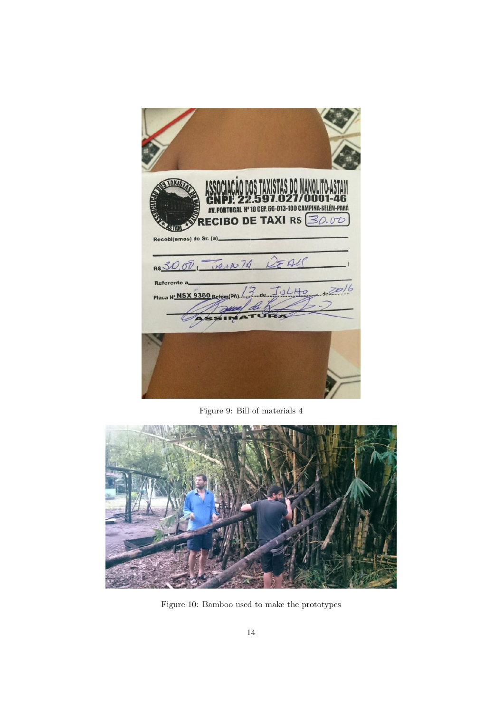| Recebi(emos) do Sr. (a)_    | O DOS TAXISTAS D<br>AV. PORTUGAL Nº 10 CEP, 66-013-100 CAM<br><b>RECIBO DE TAXI R\$</b> 30.00 |
|-----------------------------|-----------------------------------------------------------------------------------------------|
| <b>Referente a</b>          | RS 30.00, VEIN 74 DEAL                                                                        |
| Placa N' NSX 9360 Belem(PA) | 13.40<br>deZol6                                                                               |
|                             |                                                                                               |

Figure 9: Bill of materials 4



Figure 10: Bamboo used to make the prototypes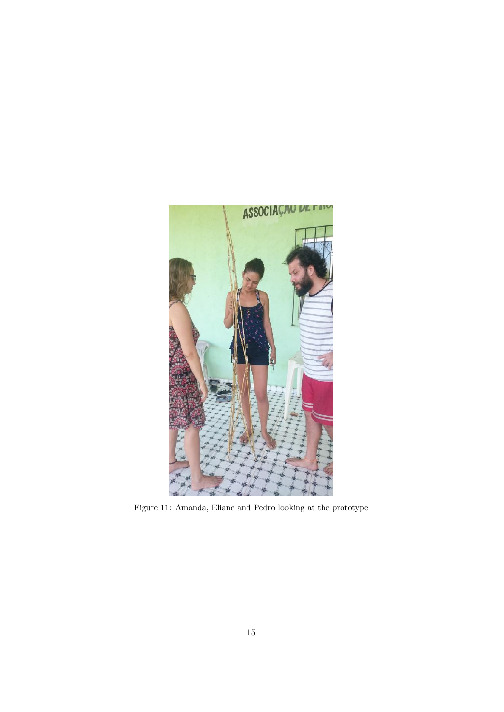

Figure 11: Amanda, Eliane and Pedro looking at the prototype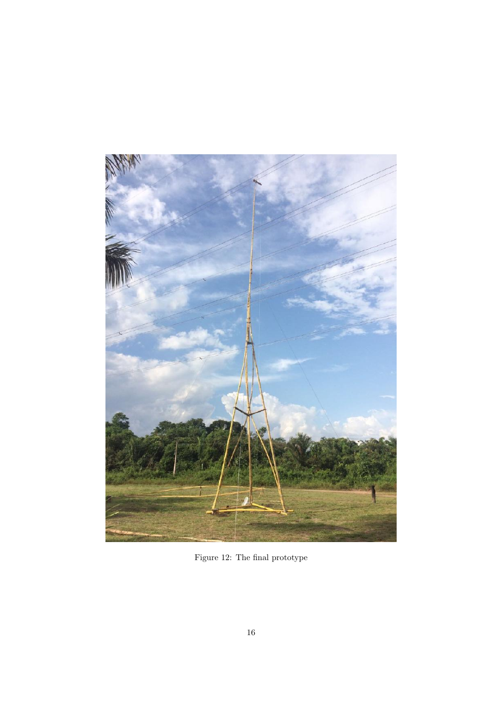

Figure 12: The final prototype